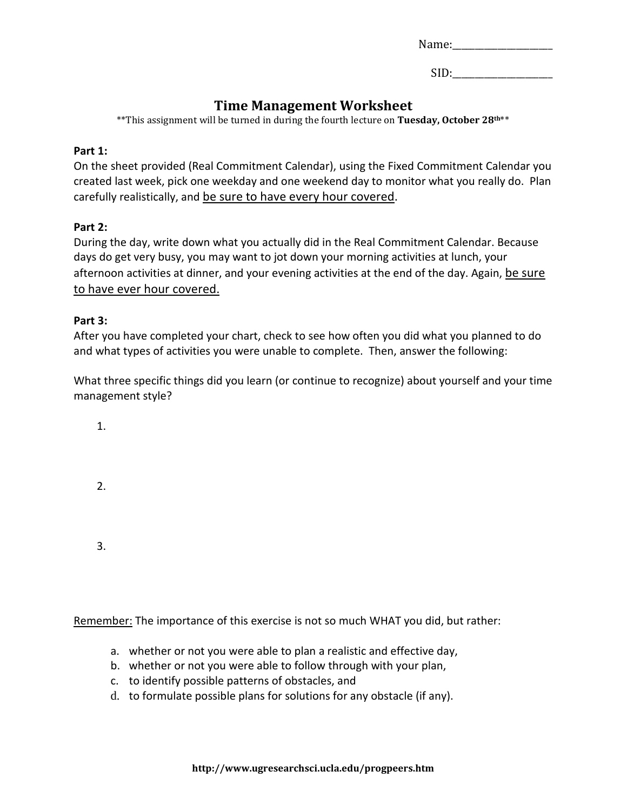| Name: |
|-------|
|-------|

 $SID:$ 

### **Time Management Worksheet**

\*\*This assignment will be turned in during the fourth lecture on **Tuesday, October 28th**\*\*

#### **Part 1:**

On the sheet provided (Real Commitment Calendar), using the Fixed Commitment Calendar you created last week, pick one weekday and one weekend day to monitor what you really do. Plan carefully realistically, and be sure to have every hour covered.

#### **Part 2:**

During the day, write down what you actually did in the Real Commitment Calendar. Because days do get very busy, you may want to jot down your morning activities at lunch, your afternoon activities at dinner, and your evening activities at the end of the day. Again, be sure to have ever hour covered.

#### **Part 3:**

After you have completed your chart, check to see how often you did what you planned to do and what types of activities you were unable to complete. Then, answer the following:

What three specific things did you learn (or continue to recognize) about yourself and your time management style?

1.

2.

3.

Remember: The importance of this exercise is not so much WHAT you did, but rather:

- a. whether or not you were able to plan a realistic and effective day,
- b. whether or not you were able to follow through with your plan,
- c. to identify possible patterns of obstacles, and
- d. to formulate possible plans for solutions for any obstacle (if any).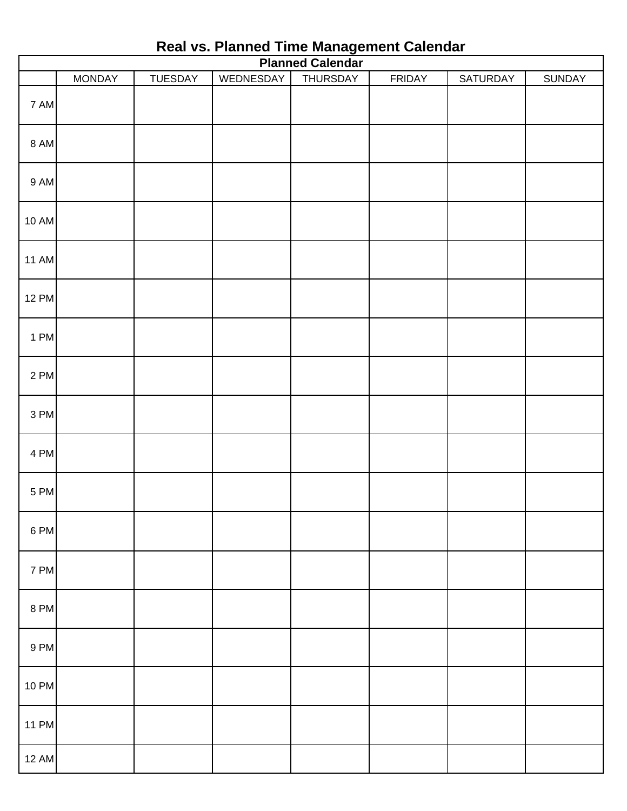| <b>Planned Calendar</b> |               |                |           |          |               |          |               |  |  |  |  |
|-------------------------|---------------|----------------|-----------|----------|---------------|----------|---------------|--|--|--|--|
|                         | <b>MONDAY</b> | <b>TUESDAY</b> | WEDNESDAY | THURSDAY | <b>FRIDAY</b> | SATURDAY | <b>SUNDAY</b> |  |  |  |  |
| 7 AM                    |               |                |           |          |               |          |               |  |  |  |  |
| <b>8 AM</b>             |               |                |           |          |               |          |               |  |  |  |  |
| 9 AM                    |               |                |           |          |               |          |               |  |  |  |  |
| <b>10 AM</b>            |               |                |           |          |               |          |               |  |  |  |  |
| <b>11 AM</b>            |               |                |           |          |               |          |               |  |  |  |  |
| <b>12 PM</b>            |               |                |           |          |               |          |               |  |  |  |  |
| 1 PM                    |               |                |           |          |               |          |               |  |  |  |  |
| 2 PM                    |               |                |           |          |               |          |               |  |  |  |  |
| 3 PM                    |               |                |           |          |               |          |               |  |  |  |  |
| 4 PM                    |               |                |           |          |               |          |               |  |  |  |  |
| 5 PM                    |               |                |           |          |               |          |               |  |  |  |  |
| 6 PM                    |               |                |           |          |               |          |               |  |  |  |  |
| 7 PM                    |               |                |           |          |               |          |               |  |  |  |  |
| 8 PM                    |               |                |           |          |               |          |               |  |  |  |  |
| 9 PM                    |               |                |           |          |               |          |               |  |  |  |  |
| <b>10 PM</b>            |               |                |           |          |               |          |               |  |  |  |  |
| <b>11 PM</b>            |               |                |           |          |               |          |               |  |  |  |  |
| <b>12 AM</b>            |               |                |           |          |               |          |               |  |  |  |  |

## **Real vs. Planned Time Management Calendar**